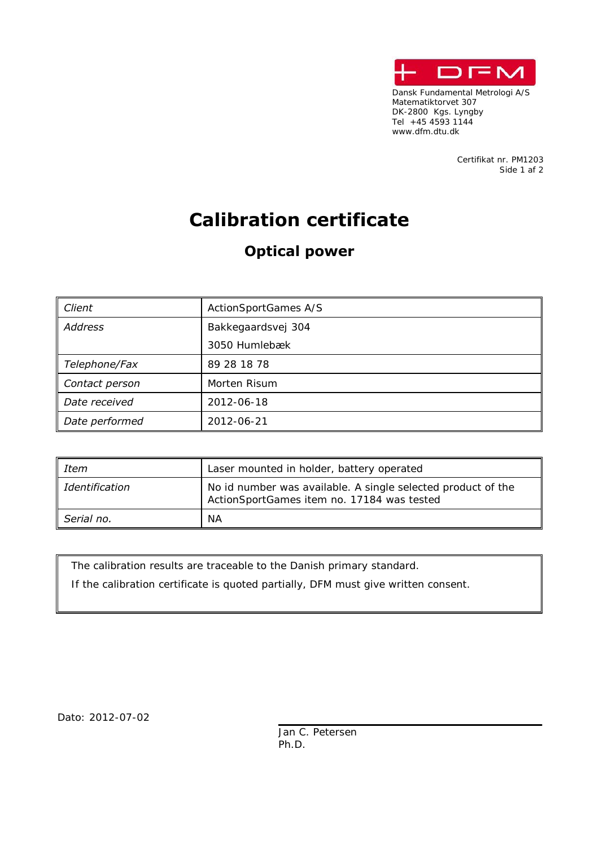

Dansk Fundamental Metrologi A/S Matematiktorvet 307 DK-2800 Kgs. Lyngby Tel +45 4593 1144 +45 4593 1144 +45 4593 1144 www.dfm.dtu.dk

> Certifikat nr. PM1203 Side 1 af 2

## **Calibration certificate**

## **Optical power**

| Client         | ActionSportGames A/S |  |  |
|----------------|----------------------|--|--|
| <b>Address</b> | Bakkegaardsvej 304   |  |  |
|                | 3050 Humlebæk        |  |  |
| Telephone/Fax  | 89 28 18 78          |  |  |
| Contact person | Morten Risum         |  |  |
| Date received  | 2012-06-18           |  |  |
| Date performed | 2012-06-21           |  |  |

| Item           | Laser mounted in holder, battery operated                                                                  |  |  |
|----------------|------------------------------------------------------------------------------------------------------------|--|--|
| Identification | No id number was available. A single selected product of the<br>ActionSportGames item no. 17184 was tested |  |  |
| Serial no.     | NА                                                                                                         |  |  |

The calibration results are traceable to the Danish primary standard.

If the calibration certificate is quoted partially, DFM must give written consent.